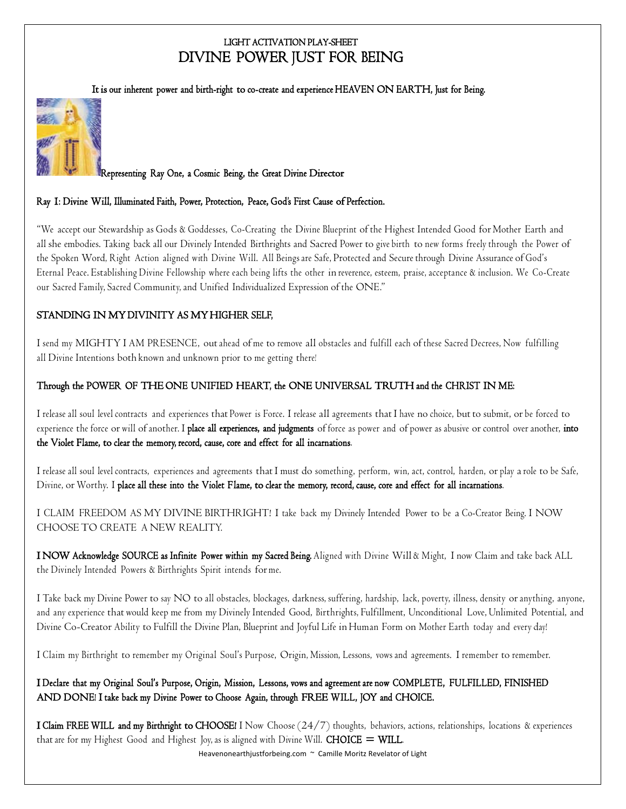# LIGHT ACTIVATION PLAY-SHEET DIVINE POWER JUST FOR BEING

It is our inherent power and birth-right to co-create and experience HEAVEN ON EARTH, Just for Being.



#### Representing Ray One, a Cosmic Being, the Great Divine Director

#### Ray 1: Divine Will, Illuminated Faith, Power, Protection, Peace, God's First Cause of Perfection.

"We accept our Stewardship as Gods & Goddesses, Co-Creating the Divine Blueprint of the Highest Intended Good for Mother Earth and all she embodies. Taking back all our Divinely Intended Birthrights and Sacred Power to give birth to new forms freely through the Power of the Spoken Word, Right Action aligned with Divine Will. All Beings are Safe, Protected and Secure through Divine Assurance of God's Eternal Peace. Establishing Divine Fellowship where each being lifts the other in reverence, esteem, praise, acceptance & inclusion. We Co-Create our Sacred Family, Sacred Community, and Unified Individualized Expression of the ONE."

## STANDING IN MY DIVINITY AS MY HIGHER SELF,

I send my MIGHTY I AM PRESENCE, outahead of me to remove all obstacles and fulfill each of these Sacred Decrees, Now fulfilling all Divine Intentions both known and unknown prior to me getting there!

## Through the POWER OF THE ONE UNIFIED HEART, the ONE UNIVERSAL TRUTH and the CHRIST IN ME:

I release all soul level contracts and experiences that Power is Force. I release all agreements that I have no choice, but to submit, or be forced to experience the force or will of another. I place all experiences, and judgments of force as power and of power as abusive or control over another, into the Violet Flame, to clear the memory, record, cause, core and effect for all incarnations.

I release all soul level contracts, experiences and agreements that I must do something, perform, win, act, control, harden, or play arole to be Safe, Divine, or Worthy. I place all these into the Violet F lame, to clear the memory, record, cause, core and effect for all incarnations.

I CLAIM FREEDOM AS MY DIVINE BIRTHRIGHT! I take back my Divinely Intended Power to be a Co-Creator Being. I NOW CHOOSETO CREATE A NEW REALITY.

I NOW Acknowledge SOURCE as Infinite Power within my Sacred Being. Aligned with Divine Will & Might, I now Claim and take back ALL the Divinely Intended Powers & Birthrights Spirit intends for me.

I Take back my Divine Power to say NO to all obstacles, blockages, darkness, suffering, hardship, lack, poverty, illness, density or anything, anyone, and any experience that would keep me from my Divinely Intended Good, Birthrights, Fulfillment, Unconditional Love, Unlimited Potential, and Divine Co-Creator Ability to Fulfill the Divine Plan, Blueprint and Joyful Life in Human Form on Mother Earth today and every day!

I Claim my Birthright to remember my Original Soul's Purpose, Origin, Mission, Lessons, vows and agreements. I remember to remember.

# I Declare that my Original Soul's Purpose, Origin, Mission, Lessons, vows and agreement are now COMPLETE, FULFILLED, FINISHED AND DONE! I take back my Divine Power to Choose Again, through FREE WILL, JOY and CHOICE.

I Claim FREE WILL and my Birthright to CHOOSE! I Now Choose (24/7) thoughts, behaviors, actions, relationships, locations & experiences that are for my Highest Good and Highest Joy, as is aligned with Divine Will. **CHOICE = WILL**.

Heavenonearthjustforbeing.com ~ Camille Moritz Revelator of Light